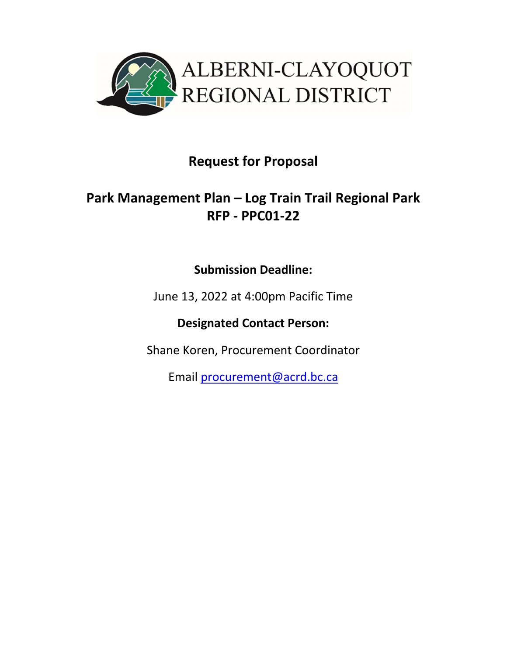

# **Request for Proposal**

# **Park Management Plan – Log Train Trail Regional Park RFP ‐ PPC01‐22**

## **Submission Deadline:**

June 13, 2022 at 4:00pm Pacific Time

**Designated Contact Person:** 

Shane Koren, Procurement Coordinator

Email procurement@acrd.bc.ca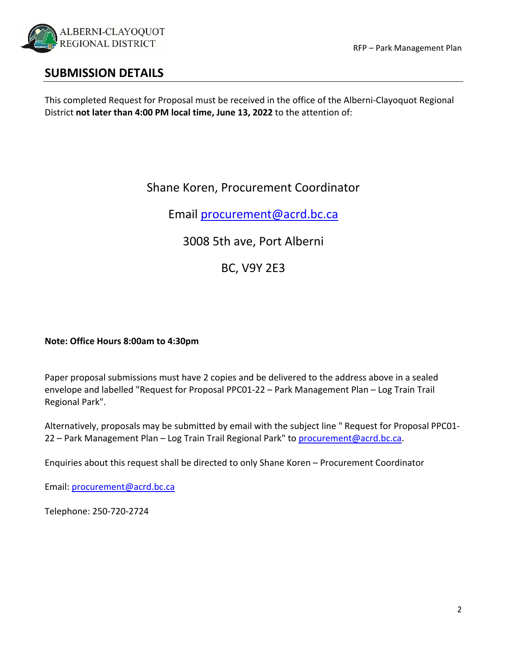

### **SUBMISSION DETAILS**

This completed Request for Proposal must be received in the office of the Alberni‐Clayoquot Regional District **not later than 4:00 PM local time, June 13, 2022** to the attention of:

## Shane Koren, Procurement Coordinator

Email procurement@acrd.bc.ca

3008 5th ave, Port Alberni

BC, V9Y 2E3

#### **Note: Office Hours 8:00am to 4:30pm**

Paper proposal submissions must have 2 copies and be delivered to the address above in a sealed envelope and labelled "Request for Proposal PPC01‐22 – Park Management Plan – Log Train Trail Regional Park".

Alternatively, proposals may be submitted by email with the subject line " Request for Proposal PPC01‐ 22 – Park Management Plan – Log Train Trail Regional Park" to procurement@acrd.bc.ca.

Enquiries about this request shall be directed to only Shane Koren – Procurement Coordinator

Email: procurement@acrd.bc.ca

Telephone: 250‐720‐2724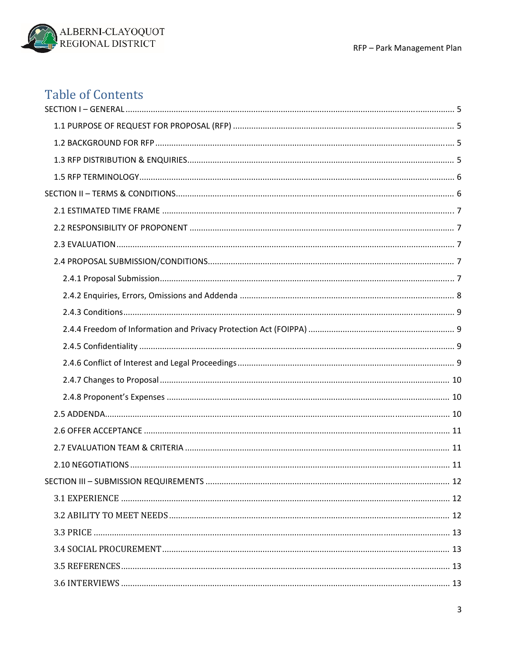

# **Table of Contents**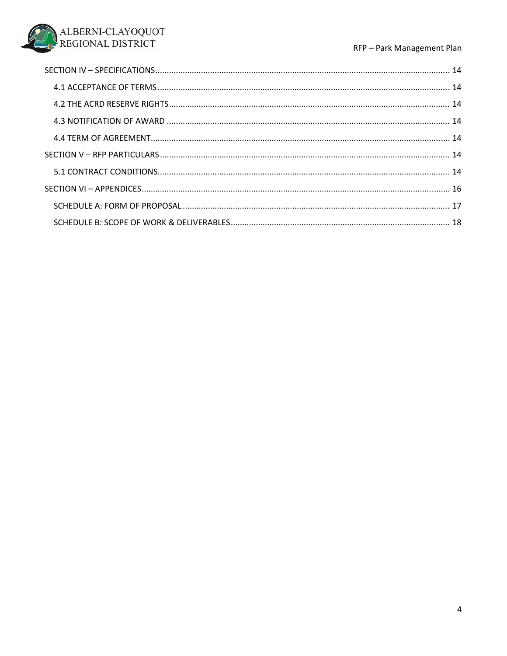#### RFP - Park Management Plan

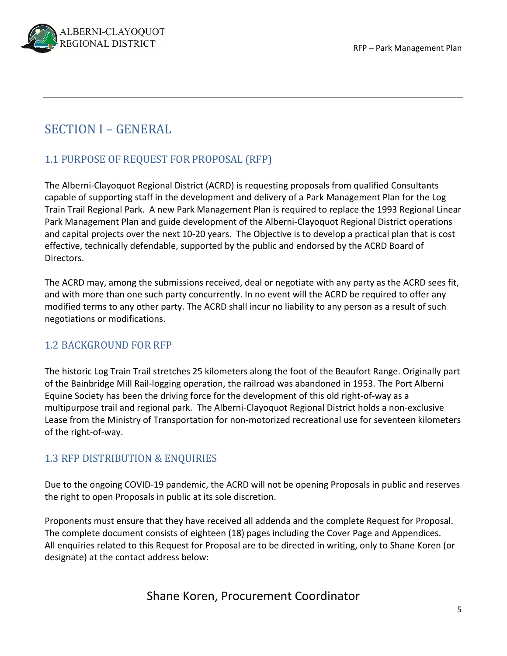

## SECTION I – GENERAL

## 1.1 PURPOSE OF REQUEST FOR PROPOSAL (RFP)

The Alberni‐Clayoquot Regional District (ACRD) is requesting proposals from qualified Consultants capable of supporting staff in the development and delivery of a Park Management Plan for the Log Train Trail Regional Park. A new Park Management Plan is required to replace the 1993 Regional Linear Park Management Plan and guide development of the Alberni‐Clayoquot Regional District operations and capital projects over the next 10‐20 years. The Objective is to develop a practical plan that is cost effective, technically defendable, supported by the public and endorsed by the ACRD Board of Directors.

The ACRD may, among the submissions received, deal or negotiate with any party as the ACRD sees fit, and with more than one such party concurrently. In no event will the ACRD be required to offer any modified terms to any other party. The ACRD shall incur no liability to any person as a result of such negotiations or modifications.

#### 1.2 BACKGROUND FOR RFP

The historic Log Train Trail stretches 25 kilometers along the foot of the Beaufort Range. Originally part of the Bainbridge Mill Rail‐logging operation, the railroad was abandoned in 1953. The Port Alberni Equine Society has been the driving force for the development of this old right‐of‐way as a multipurpose trail and regional park. The Alberni‐Clayoquot Regional District holds a non‐exclusive Lease from the Ministry of Transportation for non‐motorized recreational use for seventeen kilometers of the right‐of‐way.

### 1.3 RFP DISTRIBUTION & ENQUIRIES

Due to the ongoing COVID‐19 pandemic, the ACRD will not be opening Proposals in public and reserves the right to open Proposals in public at its sole discretion.

Proponents must ensure that they have received all addenda and the complete Request for Proposal. The complete document consists of eighteen (18) pages including the Cover Page and Appendices. All enquiries related to this Request for Proposal are to be directed in writing, only to Shane Koren (or designate) at the contact address below: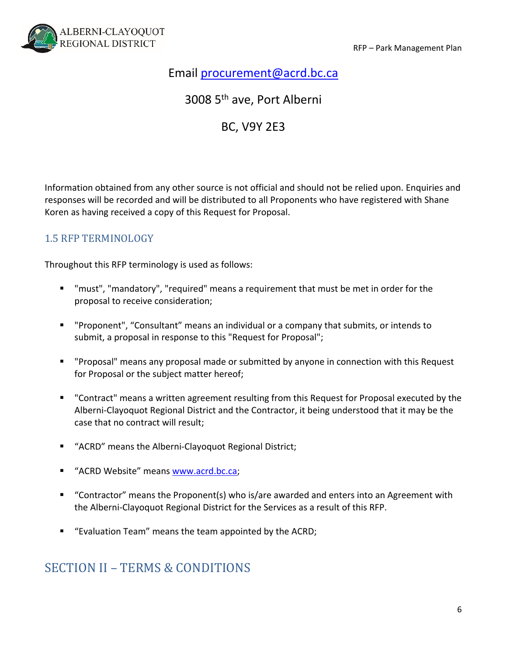

## Email procurement@acrd.bc.ca

### 3008 5th ave, Port Alberni

### BC, V9Y 2E3

Information obtained from any other source is not official and should not be relied upon. Enquiries and responses will be recorded and will be distributed to all Proponents who have registered with Shane Koren as having received a copy of this Request for Proposal.

#### 1.5 RFP TERMINOLOGY

Throughout this RFP terminology is used as follows:

- "must", "mandatory", "required" means a requirement that must be met in order for the proposal to receive consideration;
- "Proponent", "Consultant" means an individual or a company that submits, or intends to submit, a proposal in response to this "Request for Proposal";
- "Proposal" means any proposal made or submitted by anyone in connection with this Request for Proposal or the subject matter hereof;
- "Contract" means a written agreement resulting from this Request for Proposal executed by the Alberni‐Clayoquot Regional District and the Contractor, it being understood that it may be the case that no contract will result;
- "ACRD" means the Alberni-Clayoquot Regional District;
- "ACRD Website" means www.acrd.bc.ca;
- "Contractor" means the Proponent(s) who is/are awarded and enters into an Agreement with the Alberni‐Clayoquot Regional District for the Services as a result of this RFP.
- "Evaluation Team" means the team appointed by the ACRD;

## SECTION II – TERMS & CONDITIONS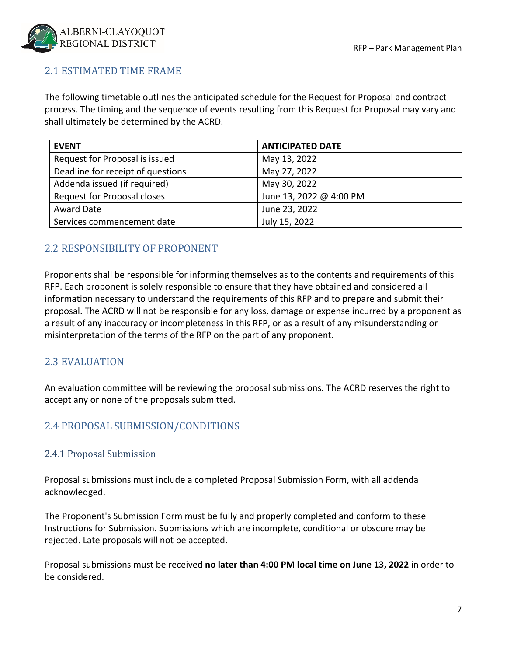

### 2.1 ESTIMATED TIME FRAME

The following timetable outlines the anticipated schedule for the Request for Proposal and contract process. The timing and the sequence of events resulting from this Request for Proposal may vary and shall ultimately be determined by the ACRD.

| <b>EVENT</b>                       | <b>ANTICIPATED DATE</b> |
|------------------------------------|-------------------------|
| Request for Proposal is issued     | May 13, 2022            |
| Deadline for receipt of questions  | May 27, 2022            |
| Addenda issued (if required)       | May 30, 2022            |
| <b>Request for Proposal closes</b> | June 13, 2022 @ 4:00 PM |
| <b>Award Date</b>                  | June 23, 2022           |
| Services commencement date         | July 15, 2022           |

#### 2.2 RESPONSIBILITY OF PROPONENT

Proponents shall be responsible for informing themselves as to the contents and requirements of this RFP. Each proponent is solely responsible to ensure that they have obtained and considered all information necessary to understand the requirements of this RFP and to prepare and submit their proposal. The ACRD will not be responsible for any loss, damage or expense incurred by a proponent as a result of any inaccuracy or incompleteness in this RFP, or as a result of any misunderstanding or misinterpretation of the terms of the RFP on the part of any proponent.

#### 2.3 EVALUATION

An evaluation committee will be reviewing the proposal submissions. The ACRD reserves the right to accept any or none of the proposals submitted.

#### 2.4 PROPOSAL SUBMISSION/CONDITIONS

#### 2.4.1 Proposal Submission

Proposal submissions must include a completed Proposal Submission Form, with all addenda acknowledged.

The Proponent's Submission Form must be fully and properly completed and conform to these Instructions for Submission. Submissions which are incomplete, conditional or obscure may be rejected. Late proposals will not be accepted.

Proposal submissions must be received **no later than 4:00 PM local time on June 13, 2022** in order to be considered.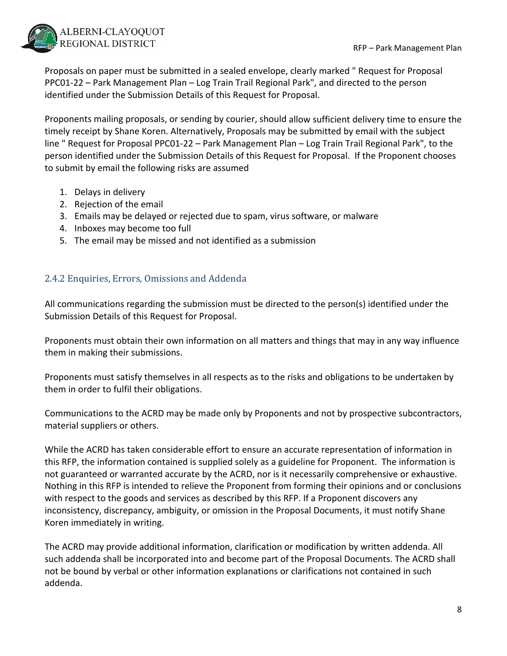

Proposals on paper must be submitted in a sealed envelope, clearly marked " Request for Proposal PPC01‐22 – Park Management Plan – Log Train Trail Regional Park", and directed to the person identified under the Submission Details of this Request for Proposal.

Proponents mailing proposals, or sending by courier, should allow sufficient delivery time to ensure the timely receipt by Shane Koren. Alternatively, Proposals may be submitted by email with the subject line " Request for Proposal PPC01‐22 – Park Management Plan – Log Train Trail Regional Park", to the person identified under the Submission Details of this Request for Proposal. If the Proponent chooses to submit by email the following risks are assumed

- 1. Delays in delivery
- 2. Rejection of the email
- 3. Emails may be delayed or rejected due to spam, virus software, or malware
- 4. Inboxes may become too full
- 5. The email may be missed and not identified as a submission

#### 2.4.2 Enquiries, Errors, Omissions and Addenda

All communications regarding the submission must be directed to the person(s) identified under the Submission Details of this Request for Proposal.

Proponents must obtain their own information on all matters and things that may in any way influence them in making their submissions.

Proponents must satisfy themselves in all respects as to the risks and obligations to be undertaken by them in order to fulfil their obligations.

Communications to the ACRD may be made only by Proponents and not by prospective subcontractors, material suppliers or others.

While the ACRD has taken considerable effort to ensure an accurate representation of information in this RFP, the information contained is supplied solely as a guideline for Proponent. The information is not guaranteed or warranted accurate by the ACRD, nor is it necessarily comprehensive or exhaustive. Nothing in this RFP is intended to relieve the Proponent from forming their opinions and or conclusions with respect to the goods and services as described by this RFP. If a Proponent discovers any inconsistency, discrepancy, ambiguity, or omission in the Proposal Documents, it must notify Shane Koren immediately in writing.

The ACRD may provide additional information, clarification or modification by written addenda. All such addenda shall be incorporated into and become part of the Proposal Documents. The ACRD shall not be bound by verbal or other information explanations or clarifications not contained in such addenda.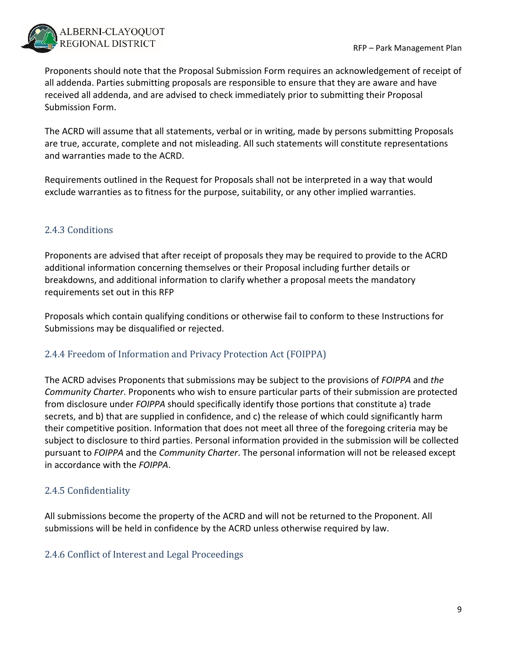

Proponents should note that the Proposal Submission Form requires an acknowledgement of receipt of all addenda. Parties submitting proposals are responsible to ensure that they are aware and have received all addenda, and are advised to check immediately prior to submitting their Proposal Submission Form.

The ACRD will assume that all statements, verbal or in writing, made by persons submitting Proposals are true, accurate, complete and not misleading. All such statements will constitute representations and warranties made to the ACRD.

Requirements outlined in the Request for Proposals shall not be interpreted in a way that would exclude warranties as to fitness for the purpose, suitability, or any other implied warranties.

#### 2.4.3 Conditions

Proponents are advised that after receipt of proposals they may be required to provide to the ACRD additional information concerning themselves or their Proposal including further details or breakdowns, and additional information to clarify whether a proposal meets the mandatory requirements set out in this RFP

Proposals which contain qualifying conditions or otherwise fail to conform to these Instructions for Submissions may be disqualified or rejected.

#### 2.4.4 Freedom of Information and Privacy Protection Act (FOIPPA)

The ACRD advises Proponents that submissions may be subject to the provisions of *FOIPPA* and *the Community Charter*. Proponents who wish to ensure particular parts of their submission are protected from disclosure under *FOIPPA* should specifically identify those portions that constitute a) trade secrets, and b) that are supplied in confidence, and c) the release of which could significantly harm their competitive position. Information that does not meet all three of the foregoing criteria may be subject to disclosure to third parties. Personal information provided in the submission will be collected pursuant to *FOIPPA* and the *Community Charter*. The personal information will not be released except in accordance with the *FOIPPA*.

#### 2.4.5 Confidentiality

All submissions become the property of the ACRD and will not be returned to the Proponent. All submissions will be held in confidence by the ACRD unless otherwise required by law.

#### 2.4.6 Conflict of Interest and Legal Proceedings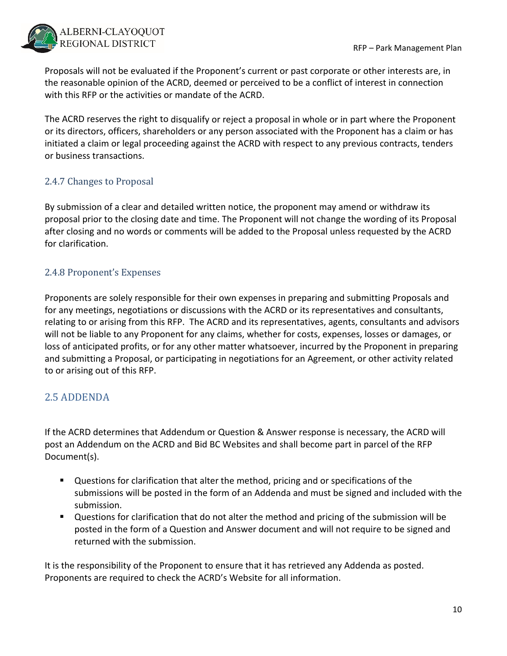

Proposals will not be evaluated if the Proponent's current or past corporate or other interests are, in the reasonable opinion of the ACRD, deemed or perceived to be a conflict of interest in connection with this RFP or the activities or mandate of the ACRD.

The ACRD reserves the right to disqualify or reject a proposal in whole or in part where the Proponent or its directors, officers, shareholders or any person associated with the Proponent has a claim or has initiated a claim or legal proceeding against the ACRD with respect to any previous contracts, tenders or business transactions.

#### 2.4.7 Changes to Proposal

By submission of a clear and detailed written notice, the proponent may amend or withdraw its proposal prior to the closing date and time. The Proponent will not change the wording of its Proposal after closing and no words or comments will be added to the Proposal unless requested by the ACRD for clarification.

#### 2.4.8 Proponent's Expenses

Proponents are solely responsible for their own expenses in preparing and submitting Proposals and for any meetings, negotiations or discussions with the ACRD or its representatives and consultants, relating to or arising from this RFP. The ACRD and its representatives, agents, consultants and advisors will not be liable to any Proponent for any claims, whether for costs, expenses, losses or damages, or loss of anticipated profits, or for any other matter whatsoever, incurred by the Proponent in preparing and submitting a Proposal, or participating in negotiations for an Agreement, or other activity related to or arising out of this RFP.

### 2.5 ADDENDA

If the ACRD determines that Addendum or Question & Answer response is necessary, the ACRD will post an Addendum on the ACRD and Bid BC Websites and shall become part in parcel of the RFP Document(s).

- Questions for clarification that alter the method, pricing and or specifications of the submissions will be posted in the form of an Addenda and must be signed and included with the submission.
- Questions for clarification that do not alter the method and pricing of the submission will be posted in the form of a Question and Answer document and will not require to be signed and returned with the submission.

It is the responsibility of the Proponent to ensure that it has retrieved any Addenda as posted. Proponents are required to check the ACRD's Website for all information.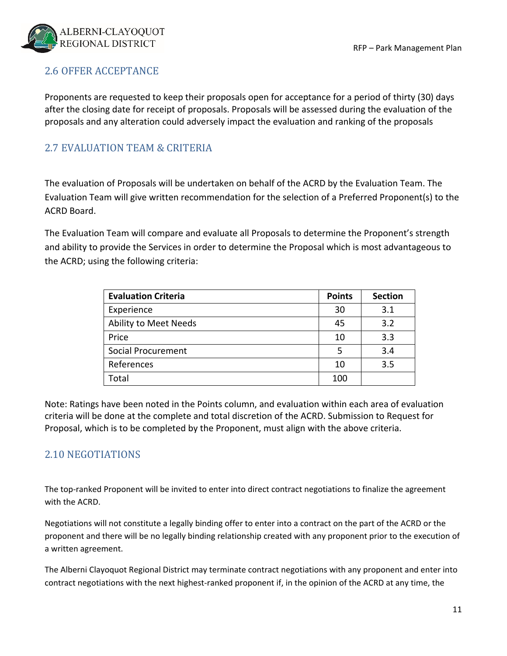

#### 2.6 OFFER ACCEPTANCE

Proponents are requested to keep their proposals open for acceptance for a period of thirty (30) days after the closing date for receipt of proposals. Proposals will be assessed during the evaluation of the proposals and any alteration could adversely impact the evaluation and ranking of the proposals

#### 2.7 EVALUATION TEAM & CRITERIA

The evaluation of Proposals will be undertaken on behalf of the ACRD by the Evaluation Team. The Evaluation Team will give written recommendation for the selection of a Preferred Proponent(s) to the ACRD Board.

The Evaluation Team will compare and evaluate all Proposals to determine the Proponent's strength and ability to provide the Services in order to determine the Proposal which is most advantageous to the ACRD; using the following criteria:

| <b>Evaluation Criteria</b> | <b>Points</b> | <b>Section</b> |
|----------------------------|---------------|----------------|
| Experience                 | 30            | 3.1            |
| Ability to Meet Needs      | 45            | 3.2            |
| Price                      | 10            | 3.3            |
| <b>Social Procurement</b>  | 5             | 3.4            |
| References                 | 10            | 3.5            |
| Total                      | 100           |                |

Note: Ratings have been noted in the Points column, and evaluation within each area of evaluation criteria will be done at the complete and total discretion of the ACRD. Submission to Request for Proposal, which is to be completed by the Proponent, must align with the above criteria.

#### 2.10 NEGOTIATIONS

The top-ranked Proponent will be invited to enter into direct contract negotiations to finalize the agreement with the ACRD.

Negotiations will not constitute a legally binding offer to enter into a contract on the part of the ACRD or the proponent and there will be no legally binding relationship created with any proponent prior to the execution of a written agreement.

The Alberni Clayoquot Regional District may terminate contract negotiations with any proponent and enter into contract negotiations with the next highest‐ranked proponent if, in the opinion of the ACRD at any time, the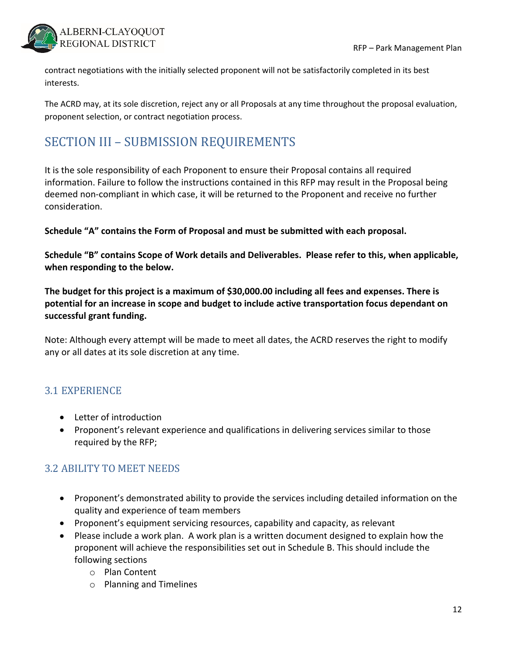

contract negotiations with the initially selected proponent will not be satisfactorily completed in its best interests.

The ACRD may, at its sole discretion, reject any or all Proposals at any time throughout the proposal evaluation, proponent selection, or contract negotiation process.

## SECTION III – SUBMISSION REQUIREMENTS

It is the sole responsibility of each Proponent to ensure their Proposal contains all required information. Failure to follow the instructions contained in this RFP may result in the Proposal being deemed non‐compliant in which case, it will be returned to the Proponent and receive no further consideration.

**Schedule "A" contains the Form of Proposal and must be submitted with each proposal.**

**Schedule "B" contains Scope of Work details and Deliverables. Please refer to this, when applicable, when responding to the below.**

**The budget for this project is a maximum of \$30,000.00 including all fees and expenses. There is potential for an increase in scope and budget to include active transportation focus dependant on successful grant funding.**

Note: Although every attempt will be made to meet all dates, the ACRD reserves the right to modify any or all dates at its sole discretion at any time.

#### 3.1 EXPERIENCE

- Letter of introduction
- Proponent's relevant experience and qualifications in delivering services similar to those required by the RFP;

### 3.2 ABILITY TO MEET NEEDS

- Proponent's demonstrated ability to provide the services including detailed information on the quality and experience of team members
- Proponent's equipment servicing resources, capability and capacity, as relevant
- Please include a work plan. A work plan is a written document designed to explain how the proponent will achieve the responsibilities set out in Schedule B. This should include the following sections
	- o Plan Content
	- o Planning and Timelines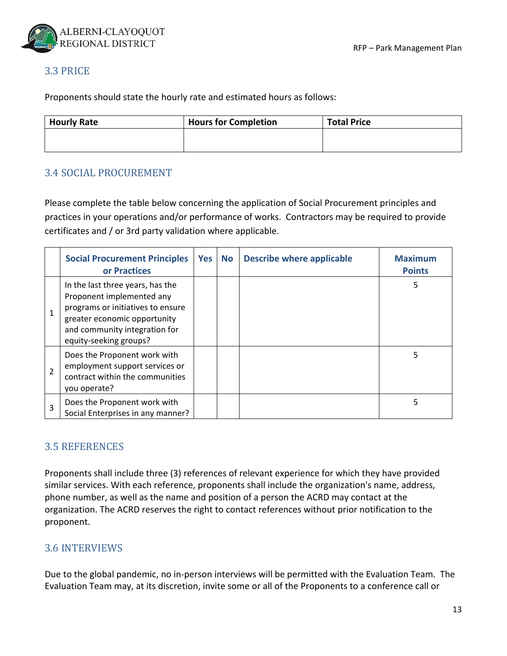

#### 3.3 PRICE

Proponents should state the hourly rate and estimated hours as follows:

| <b>Hourly Rate</b> | <b>Hours for Completion</b> | <b>Total Price</b> |  |
|--------------------|-----------------------------|--------------------|--|
|                    |                             |                    |  |
|                    |                             |                    |  |

#### 3.4 SOCIAL PROCUREMENT

Please complete the table below concerning the application of Social Procurement principles and practices in your operations and/or performance of works. Contractors may be required to provide certificates and / or 3rd party validation where applicable.

|                | <b>Social Procurement Principles</b><br>or Practices                                                                                                                                          | Yes | <b>No</b> | <b>Describe where applicable</b> | <b>Maximum</b><br><b>Points</b> |
|----------------|-----------------------------------------------------------------------------------------------------------------------------------------------------------------------------------------------|-----|-----------|----------------------------------|---------------------------------|
| $\mathbf{1}$   | In the last three years, has the<br>Proponent implemented any<br>programs or initiatives to ensure<br>greater economic opportunity<br>and community integration for<br>equity-seeking groups? |     |           |                                  | 5                               |
| $\overline{2}$ | Does the Proponent work with<br>employment support services or<br>contract within the communities<br>you operate?                                                                             |     |           |                                  | 5                               |
| 3              | Does the Proponent work with<br>Social Enterprises in any manner?                                                                                                                             |     |           |                                  | 5                               |

#### 3.5 REFERENCES

Proponents shall include three (3) references of relevant experience for which they have provided similar services. With each reference, proponents shall include the organization's name, address, phone number, as well as the name and position of a person the ACRD may contact at the organization. The ACRD reserves the right to contact references without prior notification to the proponent.

#### 3.6 INTERVIEWS

Due to the global pandemic, no in‐person interviews will be permitted with the Evaluation Team. The Evaluation Team may, at its discretion, invite some or all of the Proponents to a conference call or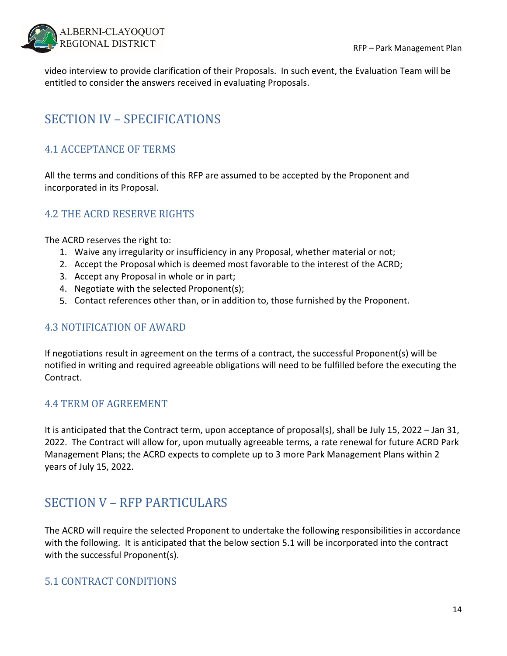

video interview to provide clarification of their Proposals. In such event, the Evaluation Team will be entitled to consider the answers received in evaluating Proposals.

# SECTION IV – SPECIFICATIONS

### 4.1 ACCEPTANCE OF TERMS

All the terms and conditions of this RFP are assumed to be accepted by the Proponent and incorporated in its Proposal.

#### 4.2 THE ACRD RESERVE RIGHTS

The ACRD reserves the right to:

- 1. Waive any irregularity or insufficiency in any Proposal, whether material or not;
- 2. Accept the Proposal which is deemed most favorable to the interest of the ACRD;
- 3. Accept any Proposal in whole or in part;
- 4. Negotiate with the selected Proponent(s);
- 5. Contact references other than, or in addition to, those furnished by the Proponent.

#### 4.3 NOTIFICATION OF AWARD

If negotiations result in agreement on the terms of a contract, the successful Proponent(s) will be notified in writing and required agreeable obligations will need to be fulfilled before the executing the Contract.

#### 4.4 TERM OF AGREEMENT

It is anticipated that the Contract term, upon acceptance of proposal(s), shall be July 15, 2022 – Jan 31, 2022. The Contract will allow for, upon mutually agreeable terms, a rate renewal for future ACRD Park Management Plans; the ACRD expects to complete up to 3 more Park Management Plans within 2 years of July 15, 2022.

## SECTION V - RFP PARTICULARS

The ACRD will require the selected Proponent to undertake the following responsibilities in accordance with the following. It is anticipated that the below section 5.1 will be incorporated into the contract with the successful Proponent(s).

#### 5.1 CONTRACT CONDITIONS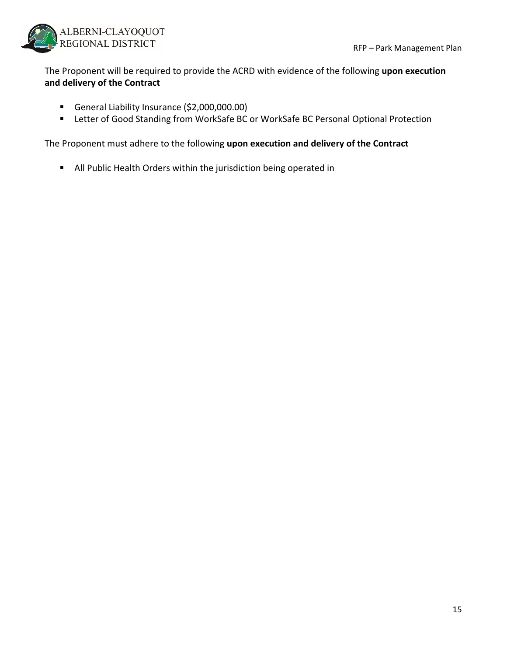

The Proponent will be required to provide the ACRD with evidence of the following **upon execution and delivery of the Contract**

- General Liability Insurance (\$2,000,000.00)
- Letter of Good Standing from WorkSafe BC or WorkSafe BC Personal Optional Protection

The Proponent must adhere to the following **upon execution and delivery of the Contract**

**All Public Health Orders within the jurisdiction being operated in**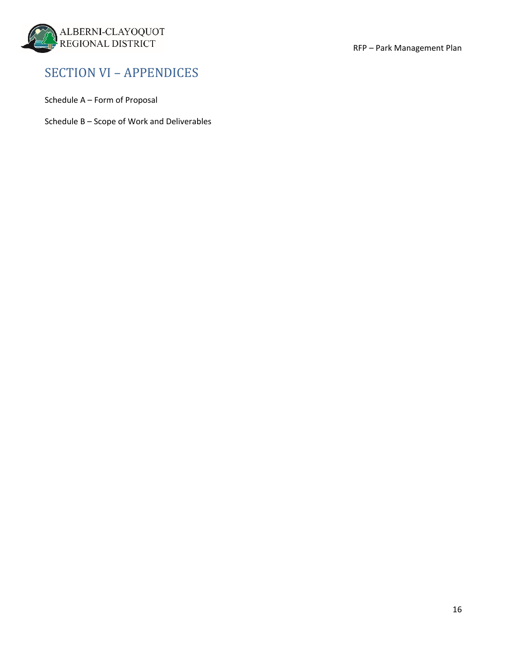

## SECTION VI – APPENDICES

Schedule A – Form of Proposal

Schedule B – Scope of Work and Deliverables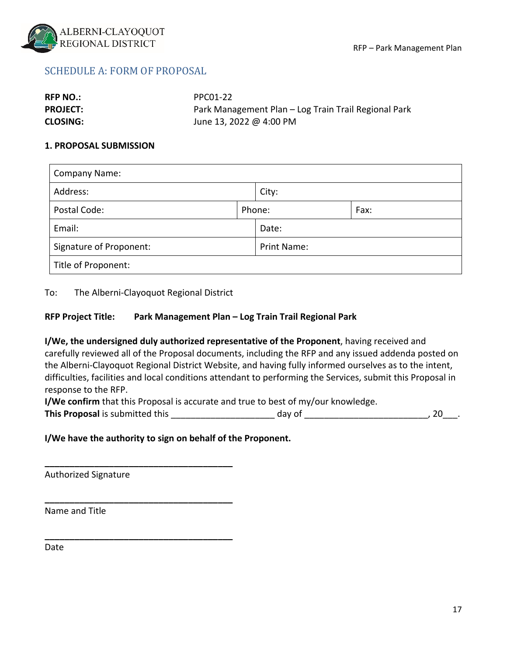

#### SCHEDULE A: FORM OF PROPOSAL

| <b>RFP NO.:</b> | PPC01-22                                             |
|-----------------|------------------------------------------------------|
| <b>PROJECT:</b> | Park Management Plan – Log Train Trail Regional Park |
| <b>CLOSING:</b> | June 13, 2022 @ 4:00 PM                              |

#### **1. PROPOSAL SUBMISSION**

| <b>Company Name:</b>    |  |                    |      |  |  |
|-------------------------|--|--------------------|------|--|--|
| Address:                |  | City:              |      |  |  |
| Postal Code:            |  | Phone:             | Fax: |  |  |
| Email:                  |  | Date:              |      |  |  |
| Signature of Proponent: |  | <b>Print Name:</b> |      |  |  |
| Title of Proponent:     |  |                    |      |  |  |

To: The Alberni‐Clayoquot Regional District

**\_\_\_\_\_\_\_\_\_\_\_\_\_\_\_\_\_\_\_\_\_\_\_\_\_\_\_\_\_\_\_\_\_\_\_\_\_\_**

**\_\_\_\_\_\_\_\_\_\_\_\_\_\_\_\_\_\_\_\_\_\_\_\_\_\_\_\_\_\_\_\_\_\_\_\_\_\_**

**\_\_\_\_\_\_\_\_\_\_\_\_\_\_\_\_\_\_\_\_\_\_\_\_\_\_\_\_\_\_\_\_\_\_\_\_\_\_**

#### **RFP Project Title: Park Management Plan – Log Train Trail Regional Park**

**I/We, the undersigned duly authorized representative of the Proponent**, having received and carefully reviewed all of the Proposal documents, including the RFP and any issued addenda posted on the Alberni‐Clayoquot Regional District Website, and having fully informed ourselves as to the intent, difficulties, facilities and local conditions attendant to performing the Services, submit this Proposal in response to the RFP.

**I/We confirm** that this Proposal is accurate and true to best of my/our knowledge.

**This Proposal** is submitted this the submitted this the set of the state of the day of the state of the state of the state of the state of the state of the state of the state of the state of the state of the state of the

#### **I/We have the authority to sign on behalf of the Proponent.**

Authorized Signature

Name and Title

Date